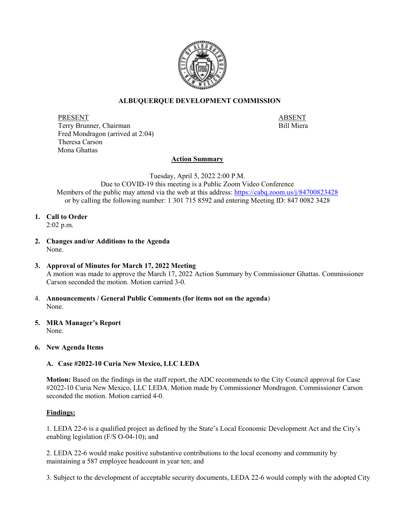

### **ALBUQUERQUE DEVELOPMENT COMMISSION**

PRESENT<br>Terry Brunner, Chairman<br>Terry Brunner, Chairman Terry Brunner, Chairman Fred Mondragon (arrived at 2:04) Theresa Carson Mona Ghattas

#### **Action Summary**

Tuesday, April 5, 2022 2:00 P.M.

Due to COVID-19 this meeting is a Public Zoom Video Conference Members of the public may attend via the web at this address:<https://cabq.zoom.us/j/84700823428> or by calling the following number: 1 301 715 8592 and entering Meeting ID: 847 0082 3428

**1. Call to Order** 2:02 p.m.

- **2. Changes and/or Additions to the Agenda** None.
- **3. Approval of Minutes for March 17, 2022 Meeting** A motion was made to approve the March 17, 2022 Action Summary by Commissioner Ghattas. Commissioner Carson seconded the motion. Motion carried 3-0.
- 4. **Announcements / General Public Comments (for items not on the agenda**) None.
- **5. MRA Manager's Report** None.
- **6. New Agenda Items**

#### **A. Case #2022-10 Curia New Mexico, LLC LEDA**

**Motion:** Based on the findings in the staff report, the ADC recommends to the City Council approval for Case #2022-10 Curia New Mexico, LLC LEDA. Motion made by Commissioner Mondragon. Commissioner Carson seconded the motion. Motion carried 4-0.

#### **Findings:**

1. LEDA 22-6 is a qualified project as defined by the State's Local Economic Development Act and the City's enabling legislation (F/S O-04-10); and

2. LEDA 22-6 would make positive substantive contributions to the local economy and community by maintaining a 587 employee headcount in year ten; and

3. Subject to the development of acceptable security documents, LEDA 22-6 would comply with the adopted City